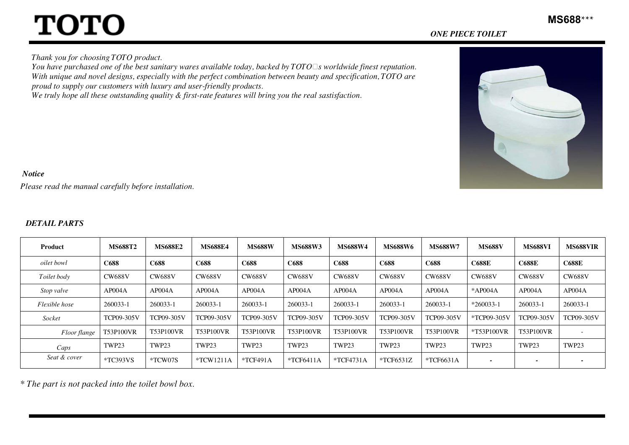# **TOTO**

Thank you for choosing TOTO product.

You have purchased one of the best sanitary wares available today, backed by  $TOTO$  s worldwide finest reputation. With unique and novel designs, especially with the perfect combination between beauty and specification,  $\overline{TOTO}$  are proud to supply our customers with luxury and user-friendly products.

We truly hope all these outstanding quality & first-rate features will bring you the real sastisfaction.



#### Notice

Please read the manual carefully before installation.

#### DETAIL PARTS

| <b>Product</b> | <b>MS688T2</b>    | <b>MS688E2</b>    | <b>MS688E4</b>    | <b>MS688W</b>     | <b>MS688W3</b>    | <b>MS688W4</b>    | <b>MS688W6</b>    | <b>MS688W7</b>    | <b>MS688V</b> | <b>MS688VI</b>    | <b>MS688VIR</b>   |
|----------------|-------------------|-------------------|-------------------|-------------------|-------------------|-------------------|-------------------|-------------------|---------------|-------------------|-------------------|
| oilet bowl     | C688              | C688              | C688              | C688              | C688              | C688              | C688              | C688              | <b>C688E</b>  | <b>C688E</b>      | <b>C688E</b>      |
| Toilet body    | <b>CW688V</b>     | <b>CW688V</b>     | <b>CW688V</b>     | <b>CW688V</b>     | <b>CW688V</b>     | <b>CW688V</b>     | <b>CW688V</b>     | <b>CW688V</b>     | <b>CW688V</b> | <b>CW688V</b>     | <b>CW688V</b>     |
| Stop valve     | AP004A            | AP004A            | AP004A            | AP004A            | AP004A            | AP004A            | AP004A            | AP004A            | *AP004A       | AP004A            | AP004A            |
| Flexible hose  | 260033-1          | 260033-1          | 260033-1          | 260033-1          | 260033-1          | 260033-1          | 260033-1          | 260033-1          | $*260033-1$   | 260033-1          | 260033-1          |
| Socket         | <b>TCP09-305V</b> | <b>TCP09-305V</b> | <b>TCP09-305V</b> | <b>TCP09-305V</b> | <b>TCP09-305V</b> | <b>TCP09-305V</b> | <b>TCP09-305V</b> | <b>TCP09-305V</b> | *TCP09-305V   | <b>TCP09-305V</b> | <b>TCP09-305V</b> |
| Floor flange   | T53P100VR         | <b>T53P100VR</b>  | <b>T53P100VR</b>  | <b>T53P100VR</b>  | <b>T53P100VR</b>  | <b>T53P100VR</b>  | <b>T53P100VR</b>  | T53P100VR         | *T53P100VR    | T53P100VR         |                   |
| Caps           | TWP23             | TWP23             | TWP23             | TWP23             | TWP23             | TWP23             | TWP23             | TWP23             | TWP23         | TWP23             | TWP23             |
| Seat & cover   | $*TC393VS$        | *TCW07S           | $*TCW1211A$       | $*TCF491A$        | $*TCF6411A$       | $*TCF4731A$       | $*TCF6531Z$       | $*TCF6631A$       | ٠             | $\qquad \qquad$   |                   |

\* The part is not packed into the toilet bowl box.